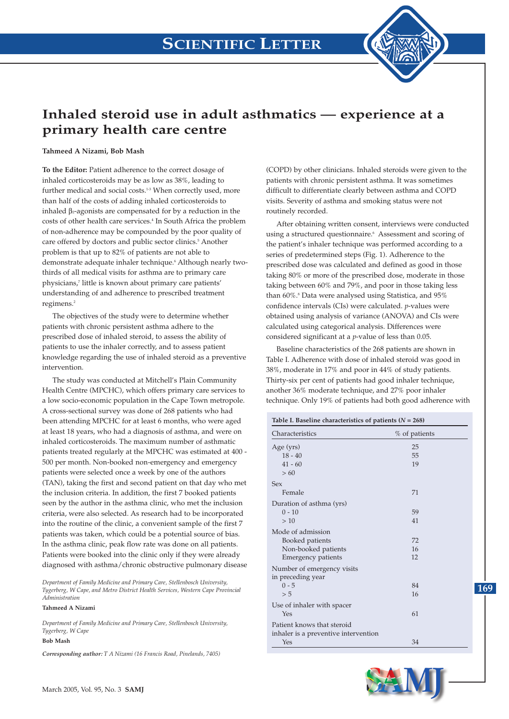

## **Inhaled steroid use in adult asthmatics — experience at a primary health care centre**

## **Tahmeed A Nizami, Bob Mash**

**To the Editor:** Patient adherence to the correct dosage of inhaled corticosteroids may be as low as 38%, leading to further medical and social costs.<sup>1-3</sup> When correctly used, more than half of the costs of adding inhaled corticosteroids to inhaled β2-agonists are compensated for by a reduction in the costs of other health care services.<sup>4</sup> In South Africa the problem of non-adherence may be compounded by the poor quality of care offered by doctors and public sector clinics.<sup>5</sup> Another problem is that up to 82% of patients are not able to demonstrate adequate inhaler technique.<sup>6</sup> Although nearly twothirds of all medical visits for asthma are to primary care physicians,7 little is known about primary care patients' understanding of and adherence to prescribed treatment regimens.<sup>2</sup>

The objectives of the study were to determine whether patients with chronic persistent asthma adhere to the prescribed dose of inhaled steroid, to assess the ability of patients to use the inhaler correctly, and to assess patient knowledge regarding the use of inhaled steroid as a preventive intervention.

The study was conducted at Mitchell's Plain Community Health Centre (MPCHC), which offers primary care services to a low socio-economic population in the Cape Town metropole. A cross-sectional survey was done of 268 patients who had been attending MPCHC for at least 6 months, who were aged at least 18 years, who had a diagnosis of asthma, and were on inhaled corticosteroids. The maximum number of asthmatic patients treated regularly at the MPCHC was estimated at 400 - 500 per month. Non-booked non-emergency and emergency patients were selected once a week by one of the authors (TAN), taking the first and second patient on that day who met the inclusion criteria. In addition, the first 7 booked patients seen by the author in the asthma clinic, who met the inclusion criteria, were also selected. As research had to be incorporated into the routine of the clinic, a convenient sample of the first 7 patients was taken, which could be a potential source of bias. In the asthma clinic, peak flow rate was done on all patients. Patients were booked into the clinic only if they were already diagnosed with asthma/chronic obstructive pulmonary disease

*Department of Family Medicine and Primary Care, Stellenbosch University, Tygerberg, W Cape, and Metro District Health Services, Western Cape Provincial Administration*

## **Tahmeed A Nizami**

*Department of Family Medicine and Primary Care, Stellenbosch University, Tygerberg, W Cape*

## **Bob Mash**

*Corresponding author: T A Nizami (16 Francis Road, Pinelands, 7405)*

(COPD) by other clinicians. Inhaled steroids were given to the patients with chronic persistent asthma. It was sometimes difficult to differentiate clearly between asthma and COPD visits. Severity of asthma and smoking status were not routinely recorded.

After obtaining written consent, interviews were conducted using a structured questionnaire.<sup>6</sup> Assessment and scoring of the patient's inhaler technique was performed according to a series of predetermined steps (Fig. 1). Adherence to the prescribed dose was calculated and defined as good in those taking 80% or more of the prescribed dose, moderate in those taking between 60% and 79%, and poor in those taking less than 60%.<sup>8</sup> Data were analysed using Statistica, and 95% confidence intervals (CIs) were calculated. *p*-values were obtained using analysis of variance (ANOVA) and CIs were calculated using categorical analysis. Differences were considered significant at a *p*-value of less than 0.05.

Baseline characteristics of the 268 patients are shown in Table I. Adherence with dose of inhaled steroid was good in 38%, moderate in 17% and poor in 44% of study patients. Thirty-six per cent of patients had good inhaler technique, another 36% moderate technique, and 27% poor inhaler technique. Only 19% of patients had both good adherence with

| Table I. Baseline characteristics of patients ( $N = 268$ ) |               |            |
|-------------------------------------------------------------|---------------|------------|
| Characteristics                                             | % of patients |            |
| Age (yrs)                                                   | 25            |            |
| $18 - 40$                                                   | 55            |            |
| $41 - 60$                                                   | 19            |            |
| > 60                                                        |               |            |
| <b>Sex</b>                                                  |               |            |
| Female                                                      | 71            |            |
| Duration of asthma (yrs)                                    |               |            |
| $0 - 10$                                                    | 59            |            |
| >10                                                         | 41            |            |
| Mode of admission                                           |               |            |
| Booked patients                                             | 72            |            |
| Non-booked patients                                         | 16            |            |
| <b>Emergency patients</b>                                   | 12            |            |
| Number of emergency visits                                  |               |            |
| in preceding year                                           |               |            |
| $0 - 5$                                                     | 84            | <b>169</b> |
| > 5                                                         | 16            |            |
| Use of inhaler with spacer                                  |               |            |
| Yes                                                         | 61            |            |
| Patient knows that steroid                                  |               |            |
| inhaler is a preventive intervention                        |               |            |
| Yes                                                         | 34            |            |